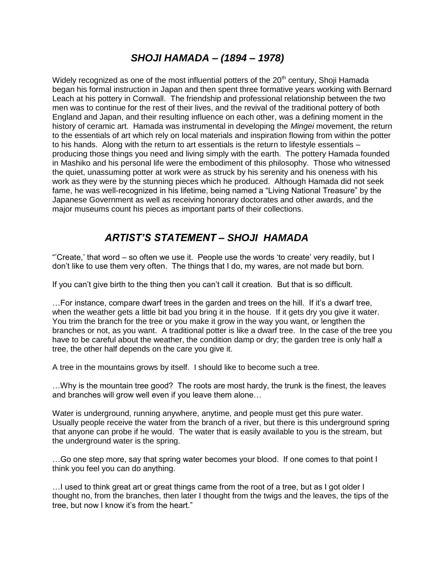## *SHOJI HAMADA – (1894 – 1978)*

Widely recognized as one of the most influential potters of the  $20<sup>th</sup>$  century, Shoji Hamada began his formal instruction in Japan and then spent three formative years working with Bernard Leach at his pottery in Cornwall. The friendship and professional relationship between the two men was to continue for the rest of their lives, and the revival of the traditional pottery of both England and Japan, and their resulting influence on each other, was a defining moment in the history of ceramic art. Hamada was instrumental in developing the *Mingei* movement, the return to the essentials of art which rely on local materials and inspiration flowing from within the potter to his hands. Along with the return to art essentials is the return to lifestyle essentials – producing those things you need and living simply with the earth. The pottery Hamada founded in Mashiko and his personal life were the embodiment of this philosophy. Those who witnessed the quiet, unassuming potter at work were as struck by his serenity and his oneness with his work as they were by the stunning pieces which he produced. Although Hamada did not seek fame, he was well-recognized in his lifetime, being named a "Living National Treasure" by the Japanese Government as well as receiving honorary doctorates and other awards, and the major museums count his pieces as important parts of their collections.

# *ARTIST'S STATEMENT – SHOJI HAMADA*

"Create,' that word – so often we use it. People use the words 'to create' very readily, but I don"t like to use them very often. The things that I do, my wares, are not made but born.

If you can"t give birth to the thing then you can"t call it creation. But that is so difficult.

…For instance, compare dwarf trees in the garden and trees on the hill. If it"s a dwarf tree, when the weather gets a little bit bad you bring it in the house. If it gets dry you give it water. You trim the branch for the tree or you make it grow in the way you want, or lengthen the branches or not, as you want. A traditional potter is like a dwarf tree. In the case of the tree you have to be careful about the weather, the condition damp or dry; the garden tree is only half a tree, the other half depends on the care you give it.

A tree in the mountains grows by itself. I should like to become such a tree.

…Why is the mountain tree good? The roots are most hardy, the trunk is the finest, the leaves and branches will grow well even if you leave them alone…

Water is underground, running anywhere, anytime, and people must get this pure water. Usually people receive the water from the branch of a river, but there is this underground spring that anyone can probe if he would. The water that is easily available to you is the stream, but the underground water is the spring.

…Go one step more, say that spring water becomes your blood. If one comes to that point I think you feel you can do anything.

…I used to think great art or great things came from the root of a tree, but as I got older I thought no, from the branches, then later I thought from the twigs and the leaves, the tips of the tree, but now I know it's from the heart."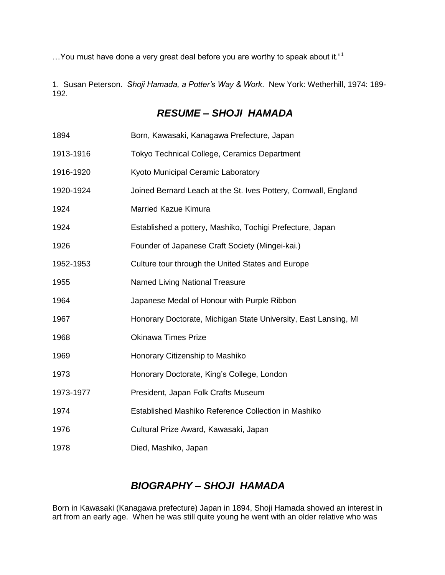…You must have done a very great deal before you are worthy to speak about it."<sup>1</sup>

1. Susan Peterson. *Shoji Hamada, a Potter's Way & Work*. New York: Wetherhill, 1974: 189- 192.

# *RESUME – SHOJI HAMADA*

| 1894      | Born, Kawasaki, Kanagawa Prefecture, Japan                      |
|-----------|-----------------------------------------------------------------|
| 1913-1916 | <b>Tokyo Technical College, Ceramics Department</b>             |
| 1916-1920 | Kyoto Municipal Ceramic Laboratory                              |
| 1920-1924 | Joined Bernard Leach at the St. Ives Pottery, Cornwall, England |
| 1924      | <b>Married Kazue Kimura</b>                                     |
| 1924      | Established a pottery, Mashiko, Tochigi Prefecture, Japan       |
| 1926      | Founder of Japanese Craft Society (Mingei-kai.)                 |
| 1952-1953 | Culture tour through the United States and Europe               |
| 1955      | <b>Named Living National Treasure</b>                           |
| 1964      | Japanese Medal of Honour with Purple Ribbon                     |
| 1967      | Honorary Doctorate, Michigan State University, East Lansing, MI |
| 1968      | <b>Okinawa Times Prize</b>                                      |
| 1969      | Honorary Citizenship to Mashiko                                 |
| 1973      | Honorary Doctorate, King's College, London                      |
| 1973-1977 | President, Japan Folk Crafts Museum                             |
| 1974      | Established Mashiko Reference Collection in Mashiko             |
| 1976      | Cultural Prize Award, Kawasaki, Japan                           |
| 1978      | Died, Mashiko, Japan                                            |

## *BIOGRAPHY – SHOJI HAMADA*

Born in Kawasaki (Kanagawa prefecture) Japan in 1894, Shoji Hamada showed an interest in art from an early age. When he was still quite young he went with an older relative who was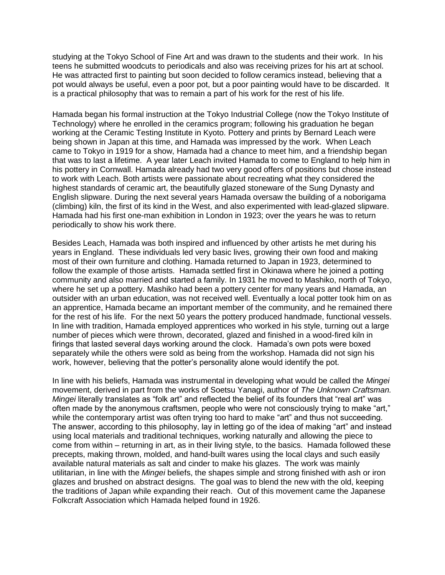studying at the Tokyo School of Fine Art and was drawn to the students and their work. In his teens he submitted woodcuts to periodicals and also was receiving prizes for his art at school. He was attracted first to painting but soon decided to follow ceramics instead, believing that a pot would always be useful, even a poor pot, but a poor painting would have to be discarded. It is a practical philosophy that was to remain a part of his work for the rest of his life.

Hamada began his formal instruction at the Tokyo Industrial College (now the Tokyo Institute of Technology) where he enrolled in the ceramics program; following his graduation he began working at the Ceramic Testing Institute in Kyoto. Pottery and prints by Bernard Leach were being shown in Japan at this time, and Hamada was impressed by the work. When Leach came to Tokyo in 1919 for a show, Hamada had a chance to meet him, and a friendship began that was to last a lifetime. A year later Leach invited Hamada to come to England to help him in his pottery in Cornwall. Hamada already had two very good offers of positions but chose instead to work with Leach. Both artists were passionate about recreating what they considered the highest standards of ceramic art, the beautifully glazed stoneware of the Sung Dynasty and English slipware. During the next several years Hamada oversaw the building of a noborigama (climbing) kiln, the first of its kind in the West, and also experimented with lead-glazed slipware. Hamada had his first one-man exhibition in London in 1923; over the years he was to return periodically to show his work there.

Besides Leach, Hamada was both inspired and influenced by other artists he met during his years in England. These individuals led very basic lives, growing their own food and making most of their own furniture and clothing. Hamada returned to Japan in 1923, determined to follow the example of those artists. Hamada settled first in Okinawa where he joined a potting community and also married and started a family. In 1931 he moved to Mashiko, north of Tokyo, where he set up a pottery. Mashiko had been a pottery center for many years and Hamada, an outsider with an urban education, was not received well. Eventually a local potter took him on as an apprentice, Hamada became an important member of the community, and he remained there for the rest of his life. For the next 50 years the pottery produced handmade, functional vessels. In line with tradition, Hamada employed apprentices who worked in his style, turning out a large number of pieces which were thrown, decorated, glazed and finished in a wood-fired kiln in firings that lasted several days working around the clock. Hamada"s own pots were boxed separately while the others were sold as being from the workshop. Hamada did not sign his work, however, believing that the potter"s personality alone would identify the pot.

In line with his beliefs, Hamada was instrumental in developing what would be called the *Mingei*  movement, derived in part from the works of Soetsu Yanagi, author of *The Unknown Craftsman. Mingei* literally translates as "folk art" and reflected the belief of its founders that "real art" was often made by the anonymous craftsmen, people who were not consciously trying to make "art," while the contemporary artist was often trying too hard to make "art" and thus not succeeding. The answer, according to this philosophy, lay in letting go of the idea of making "art" and instead using local materials and traditional techniques, working naturally and allowing the piece to come from within – returning in art, as in their living style, to the basics. Hamada followed these precepts, making thrown, molded, and hand-built wares using the local clays and such easily available natural materials as salt and cinder to make his glazes. The work was mainly utilitarian, in line with the *Mingei* beliefs, the shapes simple and strong finished with ash or iron glazes and brushed on abstract designs. The goal was to blend the new with the old, keeping the traditions of Japan while expanding their reach. Out of this movement came the Japanese Folkcraft Association which Hamada helped found in 1926.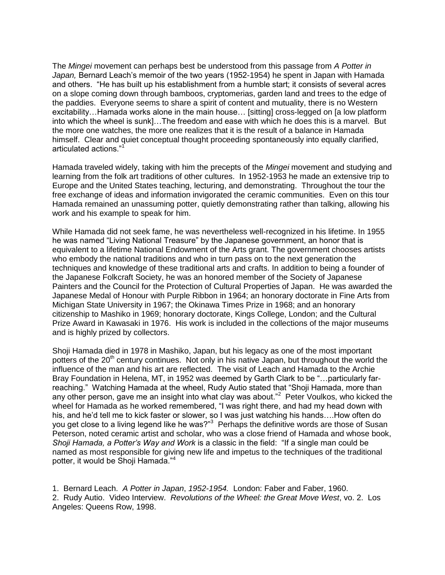The *Mingei* movement can perhaps best be understood from this passage from *A Potter in Japan,* Bernard Leach"s memoir of the two years (1952-1954) he spent in Japan with Hamada and others. "He has built up his establishment from a humble start; it consists of several acres on a slope coming down through bamboos, cryptomerias, garden land and trees to the edge of the paddies. Everyone seems to share a spirit of content and mutuality, there is no Western excitability…Hamada works alone in the main house… [sitting] cross-legged on [a low platform into which the wheel is sunk]…The freedom and ease with which he does this is a marvel. But the more one watches, the more one realizes that it is the result of a balance in Hamada himself. Clear and quiet conceptual thought proceeding spontaneously into equally clarified, articulated actions."<sup>1</sup>

Hamada traveled widely, taking with him the precepts of the *Mingei* movement and studying and learning from the folk art traditions of other cultures. In 1952-1953 he made an extensive trip to Europe and the United States teaching, lecturing, and demonstrating. Throughout the tour the free exchange of ideas and information invigorated the ceramic communities. Even on this tour Hamada remained an unassuming potter, quietly demonstrating rather than talking, allowing his work and his example to speak for him.

While Hamada did not seek fame, he was nevertheless well-recognized in his lifetime. In 1955 he was named "Living National Treasure" by the Japanese government, an honor that is equivalent to a lifetime National Endowment of the Arts grant. The government chooses artists who embody the national traditions and who in turn pass on to the next generation the techniques and knowledge of these traditional arts and crafts. In addition to being a founder of the Japanese Folkcraft Society, he was an honored member of the Society of Japanese Painters and the Council for the Protection of Cultural Properties of Japan. He was awarded the Japanese Medal of Honour with Purple Ribbon in 1964; an honorary doctorate in Fine Arts from Michigan State University in 1967; the Okinawa Times Prize in 1968; and an honorary citizenship to Mashiko in 1969; honorary doctorate, Kings College, London; and the Cultural Prize Award in Kawasaki in 1976. His work is included in the collections of the major museums and is highly prized by collectors.

Shoji Hamada died in 1978 in Mashiko, Japan, but his legacy as one of the most important potters of the 20<sup>th</sup> century continues. Not only in his native Japan, but throughout the world the influence of the man and his art are reflected. The visit of Leach and Hamada to the Archie Bray Foundation in Helena, MT, in 1952 was deemed by Garth Clark to be "…particularly farreaching." Watching Hamada at the wheel, Rudy Autio stated that "Shoji Hamada, more than any other person, gave me an insight into what clay was about."<sup>2</sup> Peter Voulkos, who kicked the wheel for Hamada as he worked remembered, "I was right there, and had my head down with his, and he'd tell me to kick faster or slower, so I was just watching his hands....How often do you get close to a living legend like he was?"<sup>3</sup> Perhaps the definitive words are those of Susan Peterson, noted ceramic artist and scholar, who was a close friend of Hamada and whose book, *Shoji Hamada, a Potter's Way and Work* is a classic in the field: "If a single man could be named as most responsible for giving new life and impetus to the techniques of the traditional potter, it would be Shoji Hamada."<sup>4</sup>

1. Bernard Leach. *A Potter in Japan*, *1952-1954.* London: Faber and Faber, 1960. 2. Rudy Autio. Video Interview. *Revolutions of the Wheel: the Great Move West*, vo. 2. Los Angeles: Queens Row, 1998.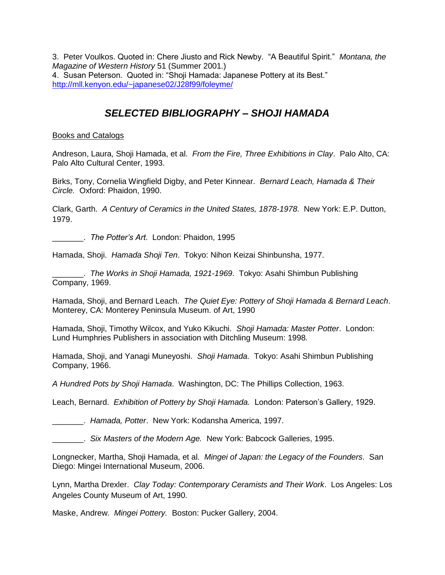3. Peter Voulkos. Quoted in: Chere Jiusto and Rick Newby. "A Beautiful Spirit." *Montana, the Magazine of Western History* 51 (Summer 2001.) 4. Susan Peterson. Quoted in: "Shoji Hamada: Japanese Pottery at its Best." <http://mll.kenyon.edu/~japanese02/J28f99/foleyme/>

## *SELECTED BIBLIOGRAPHY – SHOJI HAMADA*

### Books and Catalogs

Andreson, Laura, Shoji Hamada, et al. *From the Fire, Three Exhibitions in Clay*. Palo Alto, CA: Palo Alto Cultural Center, 1993.

Birks, Tony, Cornelia Wingfield Digby, and Peter Kinnear. *Bernard Leach, Hamada & Their Circle.* Oxford: Phaidon, 1990.

Clark, Garth. *A Century of Ceramics in the United States, 1878-1978*. New York: E.P. Dutton, 1979.

\_\_\_\_\_\_\_. *The Potter's Art*. London: Phaidon, 1995

Hamada, Shoji. *Hamada Shoji Ten*. Tokyo: Nihon Keizai Shinbunsha, 1977.

\_\_\_\_\_\_\_. *The Works in Shoji Hamada, 1921-1969*. Tokyo: Asahi Shimbun Publishing Company, 1969.

Hamada, Shoji, and Bernard Leach. *The Quiet Eye: Pottery of Shoji Hamada & Bernard Leach*. Monterey, CA: Monterey Peninsula Museum. of Art, 1990

Hamada, Shoji, Timothy Wilcox, and Yuko Kikuchi. *Shoji Hamada: Master Potter*. London: Lund Humphries Publishers in association with Ditchling Museum: 1998.

Hamada, Shoji, and Yanagi Muneyoshi. *Shoji Hamada.* Tokyo: Asahi Shimbun Publishing Company, 1966.

*A Hundred Pots by Shoji Hamada*. Washington, DC: The Phillips Collection, 1963.

Leach, Bernard. *Exhibition of Pottery by Shoji Hamada.* London: Paterson"s Gallery, 1929.

\_\_\_\_\_\_\_. *Hamada, Potter*. New York: Kodansha America, 1997.

\_\_\_\_\_\_\_. *Six Masters of the Modern Age.* New York: Babcock Galleries, 1995.

Longnecker, Martha, Shoji Hamada, et al. *Mingei of Japan: the Legacy of the Founders*. San Diego: Mingei International Museum, 2006.

Lynn, Martha Drexler. *Clay Today: Contemporary Ceramists and Their Work*. Los Angeles: Los Angeles County Museum of Art, 1990.

Maske, Andrew. *Mingei Pottery.* Boston: Pucker Gallery, 2004.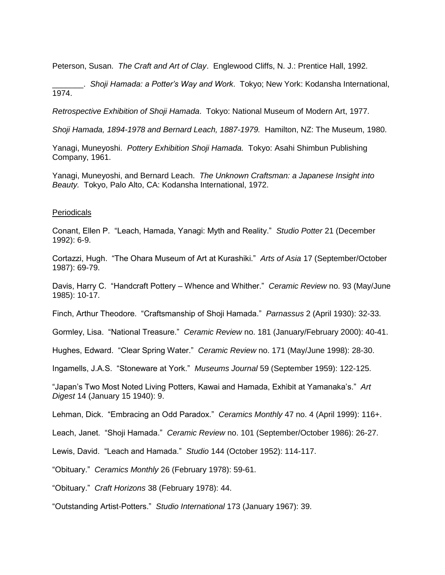Peterson, Susan. *The Craft and Art of Clay*. Englewood Cliffs, N. J.: Prentice Hall, 1992.

\_\_\_\_\_\_\_. *Shoji Hamada: a Potter's Way and Work*. Tokyo; New York: Kodansha International, 1974.

*Retrospective Exhibition of Shoji Hamada*. Tokyo: National Museum of Modern Art, 1977.

*Shoji Hamada, 1894-1978 and Bernard Leach, 1887-1979.* Hamilton, NZ: The Museum, 1980.

Yanagi, Muneyoshi. *Pottery Exhibition Shoji Hamada.* Tokyo: Asahi Shimbun Publishing Company, 1961.

Yanagi, Muneyoshi, and Bernard Leach. *The Unknown Craftsman: a Japanese Insight into Beauty.* Tokyo, Palo Alto, CA: Kodansha International, 1972.

#### **Periodicals**

Conant, Ellen P. "Leach, Hamada, Yanagi: Myth and Reality." *Studio Potter* 21 (December 1992): 6-9.

Cortazzi, Hugh. "The Ohara Museum of Art at Kurashiki." *Arts of Asia* 17 (September/October 1987): 69-79.

Davis, Harry C. "Handcraft Pottery – Whence and Whither." *Ceramic Review* no. 93 (May/June 1985): 10-17.

Finch, Arthur Theodore. "Craftsmanship of Shoji Hamada." *Parnassus* 2 (April 1930): 32-33.

Gormley, Lisa. "National Treasure." *Ceramic Review* no. 181 (January/February 2000): 40-41.

Hughes, Edward. "Clear Spring Water." *Ceramic Review* no. 171 (May/June 1998): 28-30.

Ingamells, J.A.S. "Stoneware at York." *Museums Journal* 59 (September 1959): 122-125.

"Japan"s Two Most Noted Living Potters, Kawai and Hamada, Exhibit at Yamanaka"s." *Art Digest* 14 (January 15 1940): 9.

Lehman, Dick. "Embracing an Odd Paradox." *Ceramics Monthly* 47 no. 4 (April 1999): 116+.

Leach, Janet. "Shoji Hamada." *Ceramic Review* no. 101 (September/October 1986): 26-27.

Lewis, David. "Leach and Hamada." *Studio* 144 (October 1952): 114-117.

"Obituary." *Ceramics Monthly* 26 (February 1978): 59-61.

"Obituary." *Craft Horizons* 38 (February 1978): 44.

"Outstanding Artist-Potters." *Studio International* 173 (January 1967): 39.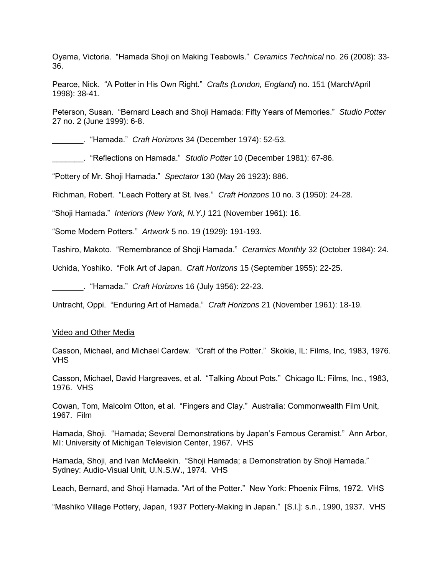Oyama, Victoria. "Hamada Shoji on Making Teabowls." *Ceramics Technical* no. 26 (2008): 33- 36.

Pearce, Nick. "A Potter in His Own Right." *Crafts (London, England*) no. 151 (March/April 1998): 38-41.

Peterson, Susan. "Bernard Leach and Shoji Hamada: Fifty Years of Memories." *Studio Potter* 27 no. 2 (June 1999): 6-8.

\_\_\_\_\_\_\_. "Hamada." *Craft Horizons* 34 (December 1974): 52-53.

\_\_\_\_\_\_\_. "Reflections on Hamada." *Studio Potter* 10 (December 1981): 67-86.

"Pottery of Mr. Shoji Hamada." *Spectator* 130 (May 26 1923): 886.

Richman, Robert. "Leach Pottery at St. Ives." *Craft Horizons* 10 no. 3 (1950): 24-28.

"Shoji Hamada." *Interiors (New York, N.Y.)* 121 (November 1961): 16.

"Some Modern Potters." *Artwork* 5 no. 19 (1929): 191-193.

Tashiro, Makoto. "Remembrance of Shoji Hamada." *Ceramics Monthly* 32 (October 1984): 24.

Uchida, Yoshiko. "Folk Art of Japan. *Craft Horizons* 15 (September 1955): 22-25.

\_\_\_\_\_\_\_. "Hamada." *Craft Horizons* 16 (July 1956): 22-23.

Untracht, Oppi. "Enduring Art of Hamada." *Craft Horizons* 21 (November 1961): 18-19.

### Video and Other Media

Casson, Michael, and Michael Cardew. "Craft of the Potter." Skokie, IL: Films, Inc, 1983, 1976. VHS

Casson, Michael, David Hargreaves, et al. "Talking About Pots." Chicago IL: Films, Inc., 1983, 1976. VHS

Cowan, Tom, Malcolm Otton, et al. "Fingers and Clay." Australia: Commonwealth Film Unit, 1967. Film

Hamada, Shoji. "Hamada; Several Demonstrations by Japan"s Famous Ceramist." Ann Arbor, MI: University of Michigan Television Center, 1967. VHS

Hamada, Shoji, and Ivan McMeekin. "Shoji Hamada; a Demonstration by Shoji Hamada." Sydney: Audio-Visual Unit, U.N.S.W., 1974. VHS

Leach, Bernard, and Shoji Hamada. "Art of the Potter." New York: Phoenix Films, 1972. VHS

"Mashiko Village Pottery, Japan, 1937 Pottery-Making in Japan." [S.l.]: s.n., 1990, 1937. VHS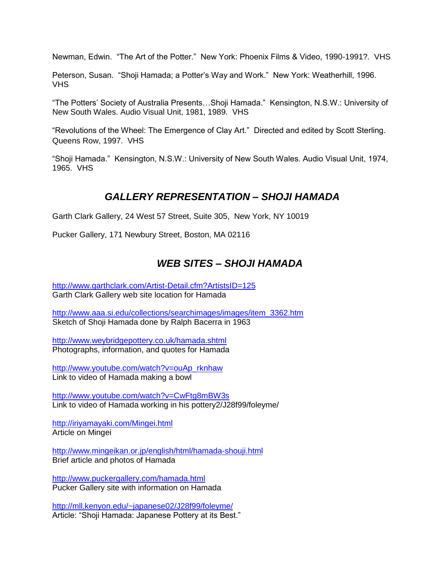Newman, Edwin. "The Art of the Potter." New York: Phoenix Films & Video, 1990-1991?. VHS

Peterson, Susan. "Shoji Hamada; a Potter"s Way and Work." New York: Weatherhill, 1996. VHS

"The Potters" Society of Australia Presents…Shoji Hamada." Kensington, N.S.W.: University of New South Wales. Audio Visual Unit, 1981, 1989. VHS

"Revolutions of the Wheel: The Emergence of Clay Art." Directed and edited by Scott Sterling. Queens Row, 1997. VHS

"Shoji Hamada." Kensington, N.S.W.: University of New South Wales. Audio Visual Unit, 1974, 1965. VHS

## *GALLERY REPRESENTATION – SHOJI HAMADA*

Garth Clark Gallery, 24 West 57 Street, Suite 305, New York, NY 10019

Pucker Gallery, 171 Newbury Street, Boston, MA 02116

# *WEB SITES – SHOJI HAMADA*

<http://www.garthclark.com/Artist-Detail.cfm?ArtistsID=125> Garth Clark Gallery web site location for Hamada

[http://www.aaa.si.edu/collections/searchimages/images/item\\_3362.htm](http://www.aaa.si.edu/collections/searchimages/images/item_3362.htm) Sketch of Shoji Hamada done by Ralph Bacerra in 1963

<http://www.weybridgepottery.co.uk/hamada.shtml> Photographs, information, and quotes for Hamada

[http://www.youtube.com/watch?v=ouAp\\_rknhaw](http://www.youtube.com/watch?v=ouAp_rknhaw) Link to video of Hamada making a bowl

<http://www.youtube.com/watch?v=CwFtg8mBW3s> Link to video of Hamada working in his pottery2/J28f99/foleyme/

<http://iriyamayaki.com/Mingei.html> Article on Mingei

<http://www.mingeikan.or.jp/english/html/hamada-shouji.html> Brief article and photos of Hamada

<http://www.puckergallery.com/hamada.html> Pucker Gallery site with information on Hamada

<http://mll.kenyon.edu/~japanese02/J28f99/foleyme/> Article: "Shoji Hamada: Japanese Pottery at its Best."